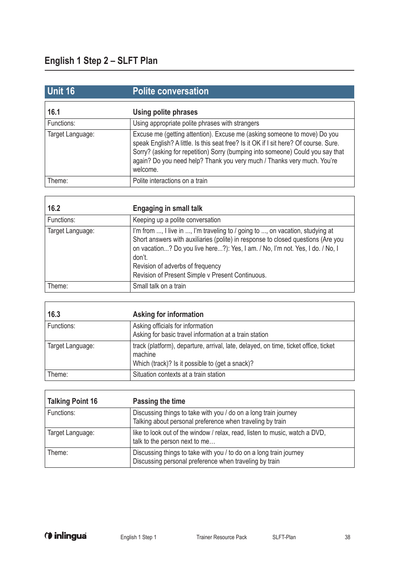$\overline{1}$ 

 $\overline{\Gamma}$ 

| <b>Unit 16</b>   | <b>Polite conversation</b>                                                                                                                                                                                                                                                                                                                |
|------------------|-------------------------------------------------------------------------------------------------------------------------------------------------------------------------------------------------------------------------------------------------------------------------------------------------------------------------------------------|
| 16.1             | <b>Using polite phrases</b>                                                                                                                                                                                                                                                                                                               |
| Functions:       | Using appropriate polite phrases with strangers                                                                                                                                                                                                                                                                                           |
| Target Language: | Excuse me (getting attention). Excuse me (asking someone to move) Do you<br>speak English? A little. Is this seat free? Is it OK if I sit here? Of course. Sure.<br>Sorry? (asking for repetition) Sorry (bumping into someone) Could you say that<br>again? Do you need help? Thank you very much / Thanks very much. You're<br>welcome. |
| Theme:           | Polite interactions on a train                                                                                                                                                                                                                                                                                                            |

| 16.2             | <b>Engaging in small talk</b>                                                                                                                                                                                                                                                                                                                        |
|------------------|------------------------------------------------------------------------------------------------------------------------------------------------------------------------------------------------------------------------------------------------------------------------------------------------------------------------------------------------------|
| Functions:       | Keeping up a polite conversation                                                                                                                                                                                                                                                                                                                     |
| Target Language: | I'm from , I live in , I'm traveling to / going to , on vacation, studying at<br>Short answers with auxiliaries (polite) in response to closed questions (Are you<br>on vacation? Do you live here?): Yes, I am. / No, I'm not. Yes, I do. / No, I<br>don't.<br>Revision of adverbs of frequency<br>Revision of Present Simple v Present Continuous. |
| Theme:           | Small talk on a train                                                                                                                                                                                                                                                                                                                                |

| 16.3             | Asking for information                                                                                                                            |
|------------------|---------------------------------------------------------------------------------------------------------------------------------------------------|
| Functions:       | Asking officials for information<br>Asking for basic travel information at a train station                                                        |
| Target Language: | track (platform), departure, arrival, late, delayed, on time, ticket office, ticket<br>machine<br>Which (track)? Is it possible to (get a snack)? |
| Theme:           | Situation contexts at a train station                                                                                                             |

| <b>Talking Point 16</b> | Passing the time                                                                                                             |
|-------------------------|------------------------------------------------------------------------------------------------------------------------------|
| Functions:              | Discussing things to take with you / do on a long train journey<br>Talking about personal preference when traveling by train |
| Target Language:        | like to look out of the window / relax, read, listen to music, watch a DVD,<br>talk to the person next to me                 |
| Theme:                  | Discussing things to take with you / to do on a long train journey<br>Discussing personal preference when traveling by train |

h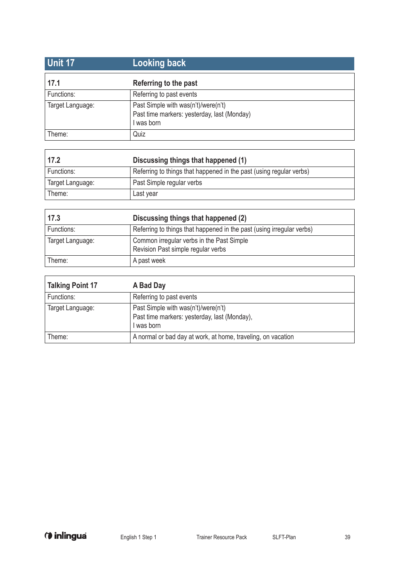| <b>Unit 17</b>   | ∣Looking back <sup>≀</sup>                                                                     |
|------------------|------------------------------------------------------------------------------------------------|
| 17.1             | Referring to the past                                                                          |
| Functions:       | Referring to past events                                                                       |
| Target Language: | Past Simple with was(n't)/were(n't)<br>Past time markers: yesterday, last (Monday)<br>was born |
| Theme:           | Quiz                                                                                           |

| 17.2             | Discussing things that happened (1)                                 |
|------------------|---------------------------------------------------------------------|
| Functions:       | Referring to things that happened in the past (using regular verbs) |
| Target Language: | Past Simple regular verbs                                           |
| Theme:           | Last year                                                           |

| 17.3             | Discussing things that happened (2)                                             |
|------------------|---------------------------------------------------------------------------------|
| Functions:       | Referring to things that happened in the past (using irregular verbs)           |
| Target Language: | Common irregular verbs in the Past Simple<br>Revision Past simple regular verbs |
| Theme:           | A past week                                                                     |

| <b>Talking Point 17</b> | A Bad Day                                                                                         |
|-------------------------|---------------------------------------------------------------------------------------------------|
| Functions:              | Referring to past events                                                                          |
| Target Language:        | Past Simple with was(n't)/were(n't)<br>Past time markers: yesterday, last (Monday),<br>I was born |
| Theme:                  | A normal or bad day at work, at home, traveling, on vacation                                      |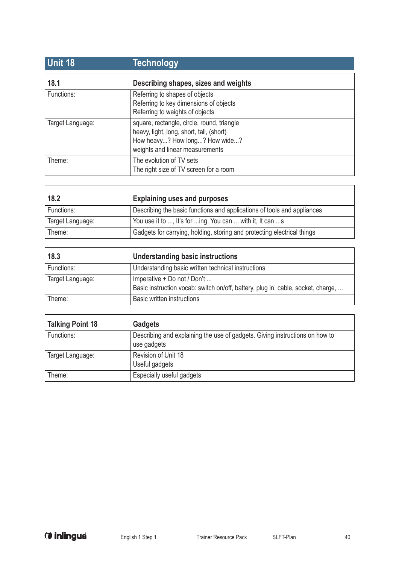| <b>Unit 18</b>   | <b>Technology</b>                                                                                                                                           |
|------------------|-------------------------------------------------------------------------------------------------------------------------------------------------------------|
| 18.1             | Describing shapes, sizes and weights                                                                                                                        |
| Functions:       | Referring to shapes of objects<br>Referring to key dimensions of objects<br>Referring to weights of objects                                                 |
| Target Language: | square, rectangle, circle, round, triangle<br>heavy, light, long, short, tall, (short)<br>How heavy? How long? How wide?<br>weights and linear measurements |
| Theme:           | The evolution of TV sets<br>The right size of TV screen for a room                                                                                          |

| 18.2             | <b>Explaining uses and purposes</b>                                     |
|------------------|-------------------------------------------------------------------------|
| Functions:       | Describing the basic functions and applications of tools and appliances |
| Target Language: | You use it to , It's for ing, You can  with it, It can s                |
| Theme:           | Gadgets for carrying, holding, storing and protecting electrical things |

| 18.3             | Understanding basic instructions                                                                                |
|------------------|-----------------------------------------------------------------------------------------------------------------|
| Functions:       | Understanding basic written technical instructions                                                              |
| Target Language: | Imperative + Do not / Don't<br>Basic instruction vocab: switch on/off, battery, plug in, cable, socket, charge, |
| Theme:           | Basic written instructions                                                                                      |

| <b>Talking Point 18</b> | <b>Gadgets</b>                                                                             |
|-------------------------|--------------------------------------------------------------------------------------------|
| Functions:              | Describing and explaining the use of gadgets. Giving instructions on how to<br>use gadgets |
| Target Language:        | Revision of Unit 18<br>Useful gadgets                                                      |
| Theme:                  | Especially useful gadgets                                                                  |

 $\overline{1}$ 

٦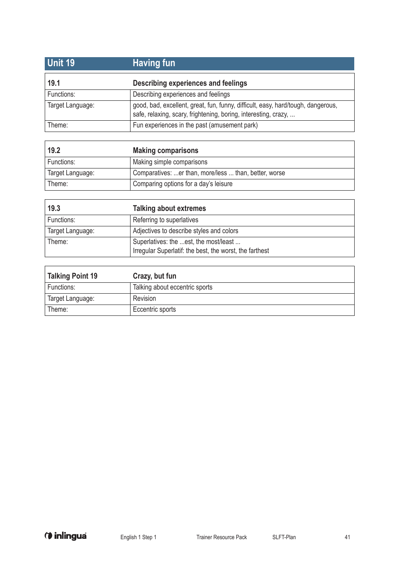| Unit 19          | <b>Having fun</b>                                                                                                                                   |
|------------------|-----------------------------------------------------------------------------------------------------------------------------------------------------|
| 19.1             | Describing experiences and feelings                                                                                                                 |
| Functions:       | Describing experiences and feelings                                                                                                                 |
| Target Language: | good, bad, excellent, great, fun, funny, difficult, easy, hard/tough, dangerous,<br>safe, relaxing, scary, frightening, boring, interesting, crazy, |
| Theme:           | Fun experiences in the past (amusement park)                                                                                                        |

| 19.2             | <b>Making comparisons</b>                             |
|------------------|-------------------------------------------------------|
| Functions:       | Making simple comparisons                             |
| Target Language: | Comparatives: er than, more/less  than, better, worse |
| Theme:           | Comparing options for a day's leisure                 |

| 19.3             | <b>Talking about extremes</b>                                                                    |
|------------------|--------------------------------------------------------------------------------------------------|
| Functions:       | Referring to superlatives                                                                        |
| Target Language: | Adjectives to describe styles and colors                                                         |
| Theme:           | Superlatives: the est, the most/least<br>Irregular Superlatif: the best, the worst, the farthest |

| Talking Point 19 | Crazy, but fun                 |
|------------------|--------------------------------|
| Functions:       | Talking about eccentric sports |
| Target Language: | Revision                       |
| Theme:           | Eccentric sports               |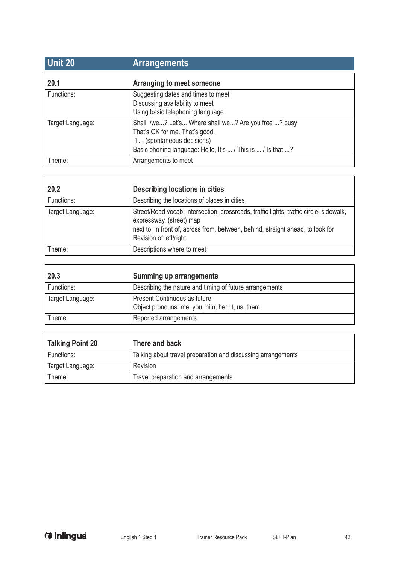| <b>Unit 20</b>   | <b>Arrangements</b>                                                                                                                                                                    |
|------------------|----------------------------------------------------------------------------------------------------------------------------------------------------------------------------------------|
| 20.1             | Arranging to meet someone                                                                                                                                                              |
| Functions:       | Suggesting dates and times to meet<br>Discussing availability to meet<br>Using basic telephoning language                                                                              |
| Target Language: | Shall I/we? Let's Where shall we? Are you free ? busy<br>That's OK for me. That's good.<br>I'll (spontaneous decisions)<br>Basic phoning language: Hello, It's  / This is  / Is that ? |
| Theme:           | Arrangements to meet                                                                                                                                                                   |

| 20.2             | Describing locations in cities                                                                                                                                                                                                  |
|------------------|---------------------------------------------------------------------------------------------------------------------------------------------------------------------------------------------------------------------------------|
| Functions:       | Describing the locations of places in cities                                                                                                                                                                                    |
| Target Language: | Street/Road vocab: intersection, crossroads, traffic lights, traffic circle, sidewalk,<br>expressway, (street) map<br>next to, in front of, across from, between, behind, straight ahead, to look for<br>Revision of left/right |
| Theme:           | Descriptions where to meet                                                                                                                                                                                                      |

| 20.3             | Summing up arrangements                                                          |
|------------------|----------------------------------------------------------------------------------|
| Functions:       | Describing the nature and timing of future arrangements                          |
| Target Language: | Present Continuous as future<br>Object pronouns: me, you, him, her, it, us, them |
| Theme:           | Reported arrangements                                                            |

| <b>Talking Point 20</b> | There and back                                               |
|-------------------------|--------------------------------------------------------------|
| Functions:              | Talking about travel preparation and discussing arrangements |
| Target Language:        | Revision                                                     |
| Theme:                  | Travel preparation and arrangements                          |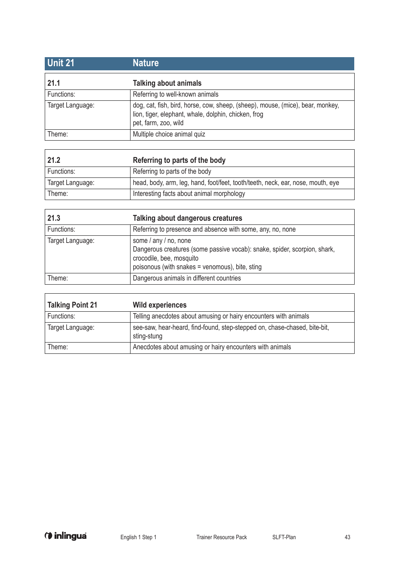| <b>Unit 21</b>   | <b>Nature</b>                                                                                                                                                  |
|------------------|----------------------------------------------------------------------------------------------------------------------------------------------------------------|
| 21.1             | <b>Talking about animals</b>                                                                                                                                   |
| Functions:       | Referring to well-known animals                                                                                                                                |
| Target Language: | dog, cat, fish, bird, horse, cow, sheep, (sheep), mouse, (mice), bear, monkey,<br>lion, tiger, elephant, whale, dolphin, chicken, frog<br>pet, farm, zoo, wild |
| Theme:           | Multiple choice animal quiz                                                                                                                                    |

| 21.2             | Referring to parts of the body                                                  |
|------------------|---------------------------------------------------------------------------------|
| Functions:       | Referring to parts of the body                                                  |
| Target Language: | head, body, arm, leg, hand, foot/feet, tooth/teeth, neck, ear, nose, mouth, eye |
| Theme:           | Interesting facts about animal morphology                                       |

| 21.3             | Talking about dangerous creatures                                                                                                                                                 |
|------------------|-----------------------------------------------------------------------------------------------------------------------------------------------------------------------------------|
| Functions:       | Referring to presence and absence with some, any, no, none                                                                                                                        |
| Target Language: | some / any / no, none<br>Dangerous creatures (some passive vocab): snake, spider, scorpion, shark,<br>crocodile, bee, mosquito<br>poisonous (with snakes = venomous), bite, sting |
| Theme:           | Dangerous animals in different countries                                                                                                                                          |

| <b>Talking Point 21</b> | <b>Wild experiences</b>                                                                  |
|-------------------------|------------------------------------------------------------------------------------------|
| Functions:              | Telling anecdotes about amusing or hairy encounters with animals                         |
| Target Language:        | see-saw, hear-heard, find-found, step-stepped on, chase-chased, bite-bit,<br>sting-stung |
| Theme:                  | Anecdotes about amusing or hairy encounters with animals                                 |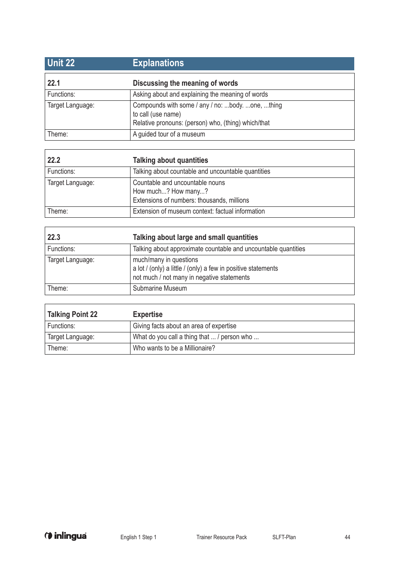| <b>Unit 22</b>   | <b>Explanations</b>                                                                                                           |
|------------------|-------------------------------------------------------------------------------------------------------------------------------|
| 22.1             | Discussing the meaning of words                                                                                               |
| Functions:       | Asking about and explaining the meaning of words                                                                              |
| Target Language: | Compounds with some / any / no: body. one, thing<br>to call (use name)<br>Relative pronouns: (person) who, (thing) which/that |
| Theme:           | A guided tour of a museum                                                                                                     |

| 22.2             | <b>Talking about quantities</b>                                                                      |
|------------------|------------------------------------------------------------------------------------------------------|
| Functions:       | Talking about countable and uncountable quantities                                                   |
| Target Language: | Countable and uncountable nouns<br>How much? How many?<br>Extensions of numbers: thousands, millions |
| Theme:           | Extension of museum context: factual information                                                     |

| 22.3             | Talking about large and small quantities                                                                                              |
|------------------|---------------------------------------------------------------------------------------------------------------------------------------|
| Functions:       | Talking about approximate countable and uncountable quantities                                                                        |
| Target Language: | much/many in questions<br>a lot / (only) a little / (only) a few in positive statements<br>not much / not many in negative statements |
| Theme:           | Submarine Museum                                                                                                                      |

| <b>Talking Point 22</b> | <b>Expertise</b>                            |
|-------------------------|---------------------------------------------|
| Functions:              | Giving facts about an area of expertise     |
| Target Language:        | What do you call a thing that  / person who |
| Theme:                  | Who wants to be a Millionaire?              |

ı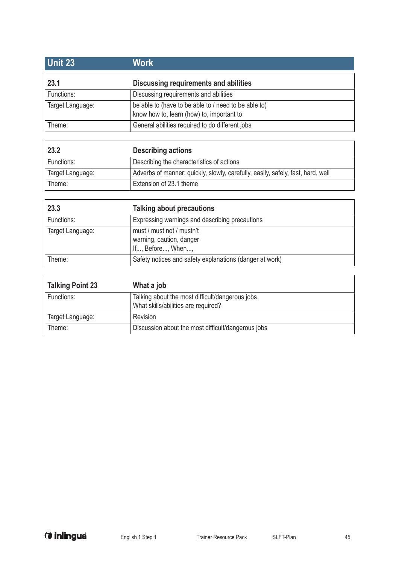| <b>Unit 23</b>   | <b>Work</b>                                                                                       |
|------------------|---------------------------------------------------------------------------------------------------|
| 23.1             | Discussing requirements and abilities                                                             |
| Functions:       | Discussing requirements and abilities                                                             |
| Target Language: | be able to (have to be able to / need to be able to)<br>know how to, learn (how) to, important to |
| Theme:           | General abilities required to do different jobs                                                   |

| 23.2             | <b>Describing actions</b>                                                       |
|------------------|---------------------------------------------------------------------------------|
| Functions:       | Describing the characteristics of actions                                       |
| Target Language: | Adverbs of manner: quickly, slowly, carefully, easily, safely, fast, hard, well |
| Theme:           | Extension of 23.1 theme                                                         |

| 23.3             | <b>Talking about precautions</b>                                           |
|------------------|----------------------------------------------------------------------------|
| Functions:       | Expressing warnings and describing precautions                             |
| Target Language: | must / must not / mustn't<br>warning, caution, danger<br>If, Before, When, |
| Theme:           | Safety notices and safety explanations (danger at work)                    |

| <b>Talking Point 23</b> | What a job                                                                             |
|-------------------------|----------------------------------------------------------------------------------------|
| Functions:              | Talking about the most difficult/dangerous jobs<br>What skills/abilities are required? |
| Target Language:        | Revision                                                                               |
| Theme:                  | Discussion about the most difficult/dangerous jobs                                     |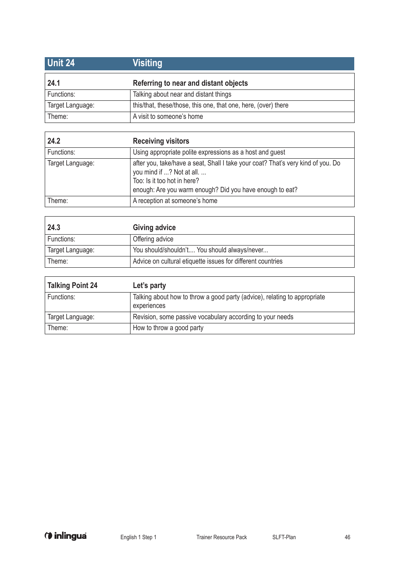| <b>Unit 24</b>   | <b>Visiting</b>                                                |
|------------------|----------------------------------------------------------------|
| 24.1             | Referring to near and distant objects                          |
| Functions:       | Talking about near and distant things                          |
| Target Language: | this/that, these/those, this one, that one, here, (over) there |
| Theme:           | A visit to someone's home                                      |

| 24.2             | <b>Receiving visitors</b>                                                                                                                                                                                |
|------------------|----------------------------------------------------------------------------------------------------------------------------------------------------------------------------------------------------------|
| Functions:       | Using appropriate polite expressions as a host and guest                                                                                                                                                 |
| Target Language: | after you, take/have a seat, Shall I take your coat? That's very kind of you. Do<br>you mind if ? Not at all.<br>Too: Is it too hot in here?<br>enough: Are you warm enough? Did you have enough to eat? |
| Theme:           | A reception at someone's home                                                                                                                                                                            |

| 24.3             | Giving advice                                               |
|------------------|-------------------------------------------------------------|
| Functions:       | Offering advice                                             |
| Target Language: | You should/shouldn't You should always/never                |
| Theme:           | Advice on cultural etiquette issues for different countries |

| <b>Talking Point 24</b> | Let's party                                                                              |
|-------------------------|------------------------------------------------------------------------------------------|
| Functions:              | Talking about how to throw a good party (advice), relating to appropriate<br>experiences |
| Target Language:        | Revision, some passive vocabulary according to your needs                                |
| Theme:                  | How to throw a good party                                                                |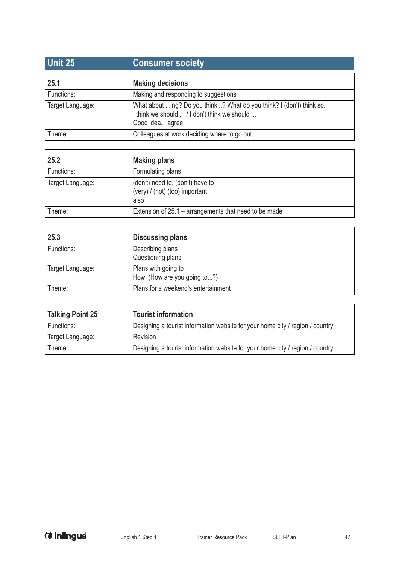| <b>Unit 25</b>   | <b>Consumer society</b>                                                                                                                     |
|------------------|---------------------------------------------------------------------------------------------------------------------------------------------|
| 25.1             | <b>Making decisions</b>                                                                                                                     |
| Functions:       | Making and responding to suggestions                                                                                                        |
| Target Language: | What about ing? Do you think? What do you think? I (don't) think so.<br>I think we should  / I don't think we should<br>Good idea. I agree. |
| Theme:           | Colleagues at work deciding where to go out                                                                                                 |

| 25.2             | <b>Making plans</b>                                                        |
|------------------|----------------------------------------------------------------------------|
| Functions:       | Formulating plans                                                          |
| Target Language: | (don't) need to, (don't) have to<br>(very) / (not) (too) important<br>also |
| Theme:           | Extension of 25.1 – arrangements that need to be made                      |

| 25.3             | <b>Discussing plans</b>                             |
|------------------|-----------------------------------------------------|
| Functions:       | Describing plans<br>Questioning plans               |
| Target Language: | Plans with going to<br>How: (How are you going to?) |
| Theme:           | Plans for a weekend's entertainment                 |

| <b>Talking Point 25</b> | <b>Tourist information</b>                                                     |
|-------------------------|--------------------------------------------------------------------------------|
| Functions:              | Designing a tourist information website for your home city / region / country  |
| Target Language:        | Revision                                                                       |
| Theme:                  | Designing a tourist information website for your home city / region / country. |

 $\Gamma$ 

h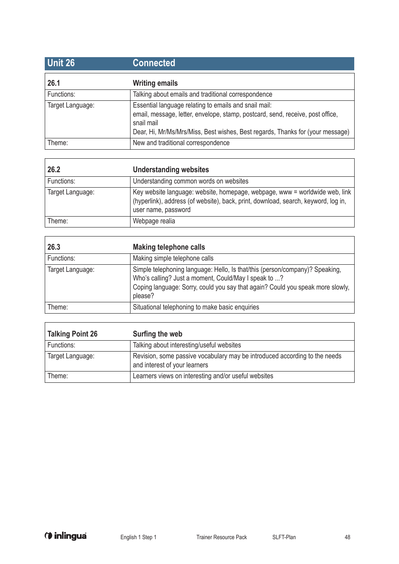| <b>Unit 26</b>   | <b>Connected</b>                                                                                                                                                                                                                        |
|------------------|-----------------------------------------------------------------------------------------------------------------------------------------------------------------------------------------------------------------------------------------|
| 26.1             | <b>Writing emails</b>                                                                                                                                                                                                                   |
| Functions:       | Talking about emails and traditional correspondence                                                                                                                                                                                     |
| Target Language: | Essential language relating to emails and snail mail:<br>email, message, letter, envelope, stamp, postcard, send, receive, post office,<br>snail mail<br>Dear, Hi, Mr/Ms/Mrs/Miss, Best wishes, Best regards, Thanks for (your message) |
| Theme:           | New and traditional correspondence                                                                                                                                                                                                      |

| 26.2             | <b>Understanding websites</b>                                                                                                                                                            |
|------------------|------------------------------------------------------------------------------------------------------------------------------------------------------------------------------------------|
| Functions:       | Understanding common words on websites                                                                                                                                                   |
| Target Language: | Key website language: website, homepage, webpage, www = worldwide web, link<br>(hyperlink), address (of website), back, print, download, search, keyword, log in,<br>user name, password |
| Theme:           | Webpage realia                                                                                                                                                                           |

| 26.3             | <b>Making telephone calls</b>                                                                                                                                                                                                     |
|------------------|-----------------------------------------------------------------------------------------------------------------------------------------------------------------------------------------------------------------------------------|
| Functions:       | Making simple telephone calls                                                                                                                                                                                                     |
| Target Language: | Simple telephoning language: Hello, Is that/this (person/company)? Speaking,<br>Who's calling? Just a moment, Could/May I speak to ?<br>Coping language: Sorry, could you say that again? Could you speak more slowly,<br>please? |
| Theme:           | Situational telephoning to make basic enquiries                                                                                                                                                                                   |

| <b>Talking Point 26</b> | Surfing the web                                                                                             |
|-------------------------|-------------------------------------------------------------------------------------------------------------|
| Functions:              | Talking about interesting/useful websites                                                                   |
| Target Language:        | Revision, some passive vocabulary may be introduced according to the needs<br>and interest of your learners |
| Theme:                  | Learners views on interesting and/or useful websites                                                        |

J.

 $\overline{1}$ 

٦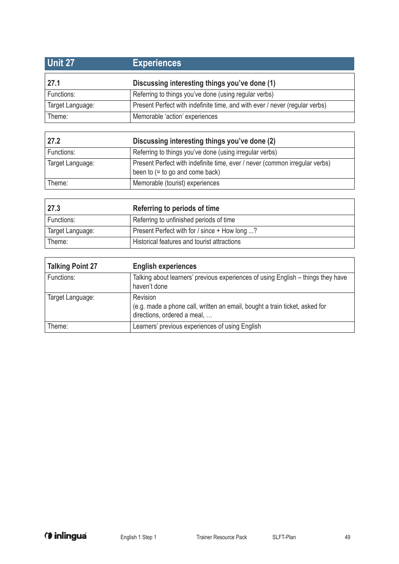| <b>Unit 27</b>   | <b>Experiences</b>                                                          |
|------------------|-----------------------------------------------------------------------------|
| 27.1             | Discussing interesting things you've done (1)                               |
| Functions:       | Referring to things you've done (using regular verbs)                       |
| Target Language: | Present Perfect with indefinite time, and with ever / never (regular verbs) |
| Theme:           | Memorable 'action' experiences                                              |

| 27.2             | Discussing interesting things you've done (2)                                                                    |
|------------------|------------------------------------------------------------------------------------------------------------------|
| Functions:       | Referring to things you've done (using irregular verbs)                                                          |
| Target Language: | Present Perfect with indefinite time, ever / never (common irregular verbs)<br>been to $(=$ to go and come back) |
| Theme:           | Memorable (tourist) experiences                                                                                  |

| 27.3             | Referring to periods of time                  |
|------------------|-----------------------------------------------|
| Functions:       | Referring to unfinished periods of time       |
| Target Language: | Present Perfect with for / since + How long ? |
| Theme:           | Historical features and tourist attractions   |

| <b>Talking Point 27</b> | <b>English experiences</b>                                                                                             |
|-------------------------|------------------------------------------------------------------------------------------------------------------------|
| Functions:              | Talking about learners' previous experiences of using English – things they have<br>haven't done                       |
| Target Language:        | Revision<br>(e.g. made a phone call, written an email, bought a train ticket, asked for<br>directions, ordered a meal, |
| Theme:                  | Learners' previous experiences of using English                                                                        |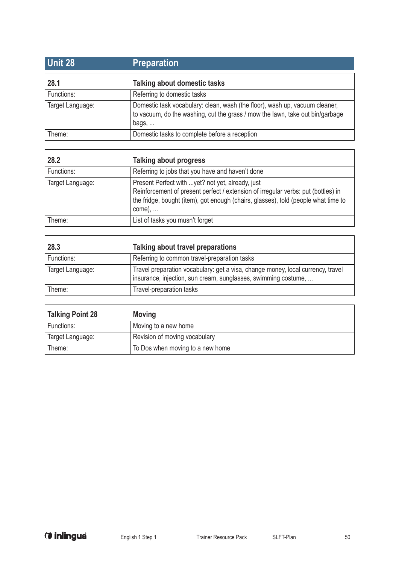| <b>Unit 28</b>   | <b>Preparation</b>                                                                                                                                                            |
|------------------|-------------------------------------------------------------------------------------------------------------------------------------------------------------------------------|
| 28.1             | Talking about domestic tasks                                                                                                                                                  |
| Functions:       | Referring to domestic tasks                                                                                                                                                   |
| Target Language: | Domestic task vocabulary: clean, wash (the floor), wash up, vacuum cleaner,<br>to vacuum, do the washing, cut the grass / mow the lawn, take out bin/garbage<br>bags, $\dots$ |
| Theme:           | Domestic tasks to complete before a reception                                                                                                                                 |

| 28.2             | Talking about progress                                                                                                                                                                                                                 |
|------------------|----------------------------------------------------------------------------------------------------------------------------------------------------------------------------------------------------------------------------------------|
| Functions:       | Referring to jobs that you have and haven't done                                                                                                                                                                                       |
| Target Language: | Present Perfect with  yet? not yet, already, just<br>Reinforcement of present perfect / extension of irregular verbs: put (bottles) in<br>the fridge, bought (item), got enough (chairs, glasses), told (people what time to<br>come), |
| Theme:           | List of tasks you musn't forget                                                                                                                                                                                                        |

| 28.3             | Talking about travel preparations                                                                                                                 |
|------------------|---------------------------------------------------------------------------------------------------------------------------------------------------|
| Functions:       | Referring to common travel-preparation tasks                                                                                                      |
| Target Language: | Travel preparation vocabulary: get a visa, change money, local currency, travel<br>insurance, injection, sun cream, sunglasses, swimming costume, |
| Theme:           | Travel-preparation tasks                                                                                                                          |

| <b>Talking Point 28</b> | <b>Moving</b>                    |
|-------------------------|----------------------------------|
| Functions:              | Moving to a new home             |
| Target Language:        | Revision of moving vocabulary    |
| Theme:                  | To Dos when moving to a new home |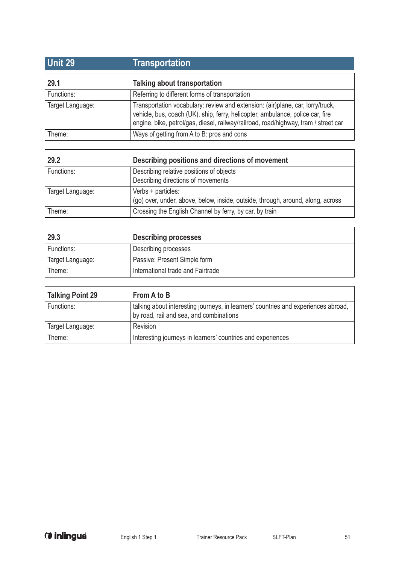| <b>Unit 29</b>   | Transportation                                                                                                                                                                                                                                          |
|------------------|---------------------------------------------------------------------------------------------------------------------------------------------------------------------------------------------------------------------------------------------------------|
| 29.1             | Talking about transportation                                                                                                                                                                                                                            |
| Functions:       | Referring to different forms of transportation                                                                                                                                                                                                          |
| Target Language: | Transportation vocabulary: review and extension: (air)plane, car, lorry/truck,<br>vehicle, bus, coach (UK), ship, ferry, helicopter, ambulance, police car, fire<br>engine, bike, petrol/gas, diesel, railway/railroad, road/highway, tram / street car |
| Theme:           | Ways of getting from A to B: pros and cons                                                                                                                                                                                                              |

| 29.2             | Describing positions and directions of movement                                 |
|------------------|---------------------------------------------------------------------------------|
| Functions:       | Describing relative positions of objects                                        |
|                  | Describing directions of movements                                              |
| Target Language: | Verbs + particles:                                                              |
|                  | (go) over, under, above, below, inside, outside, through, around, along, across |
| Theme:           | Crossing the English Channel by ferry, by car, by train                         |

| 29.3             | <b>Describing processes</b>       |
|------------------|-----------------------------------|
| Functions:       | Describing processes              |
| Target Language: | Passive: Present Simple form      |
| Theme:           | International trade and Fairtrade |

| Talking Point 29 | From A to B                                                                                                                   |
|------------------|-------------------------------------------------------------------------------------------------------------------------------|
| Functions:       | talking about interesting journeys, in learners' countries and experiences abroad,<br>by road, rail and sea, and combinations |
| Target Language: | Revision                                                                                                                      |
| Theme:           | Interesting journeys in learners' countries and experiences                                                                   |

ı